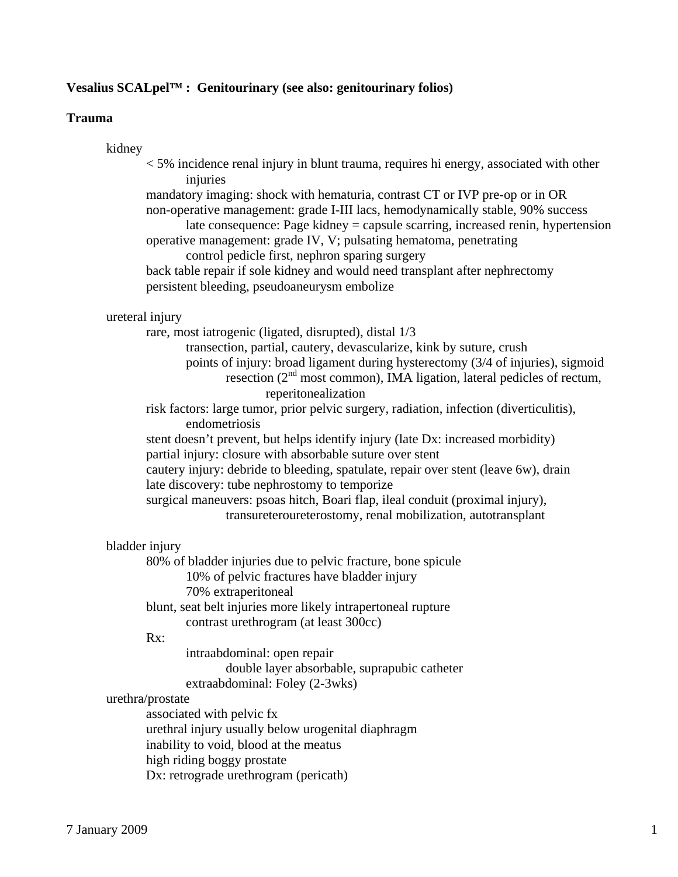# **Vesalius SCALpel™ : Genitourinary (see also: genitourinary folios)**

# **Trauma**

# kidney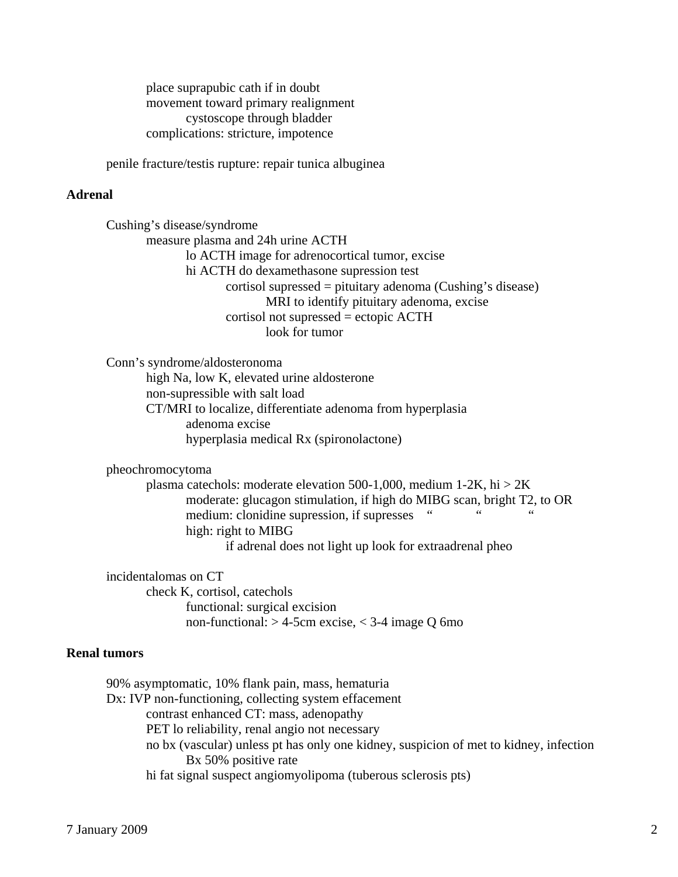place suprapubic cath if in doubt movement toward primary realignment cystoscope through bladder complications: stricture, impotence

penile fracture/testis rupture: repair tunica albuginea

# **Adrenal**

 Cushing's disease/syndrome measure plasma and 24h urine ACTH lo ACTH image for adrenocortical tumor, excise hi ACTH do dexamethasone supression test cortisol supressed = pituitary adenoma (Cushing's disease) MRI to identify pituitary adenoma, excise cortisol not supressed = ectopic ACTH look for tumor

 Conn's syndrome/aldosteronoma high Na, low K, elevated urine aldosterone non-supressible with salt load

 CT/MRI to localize, differentiate adenoma from hyperplasia adenoma excise hyperplasia medical Rx (spironolactone)

pheochromocytoma

plasma catechols: moderate elevation 500-1,000, medium 1-2K, hi  $> 2K$  moderate: glucagon stimulation, if high do MIBG scan, bright T2, to OR medium: clonidine supression, if supresses " high: right to MIBG if adrenal does not light up look for extraadrenal pheo

 incidentalomas on CT check K, cortisol, catechols functional: surgical excision non-functional:  $> 4$ -5cm excise,  $<$  3-4 image Q 6mo

## **Renal tumors**

 90% asymptomatic, 10% flank pain, mass, hematuria Dx: IVP non-functioning, collecting system effacement contrast enhanced CT: mass, adenopathy PET lo reliability, renal angio not necessary no bx (vascular) unless pt has only one kidney, suspicion of met to kidney, infection Bx 50% positive rate hi fat signal suspect angiomyolipoma (tuberous sclerosis pts)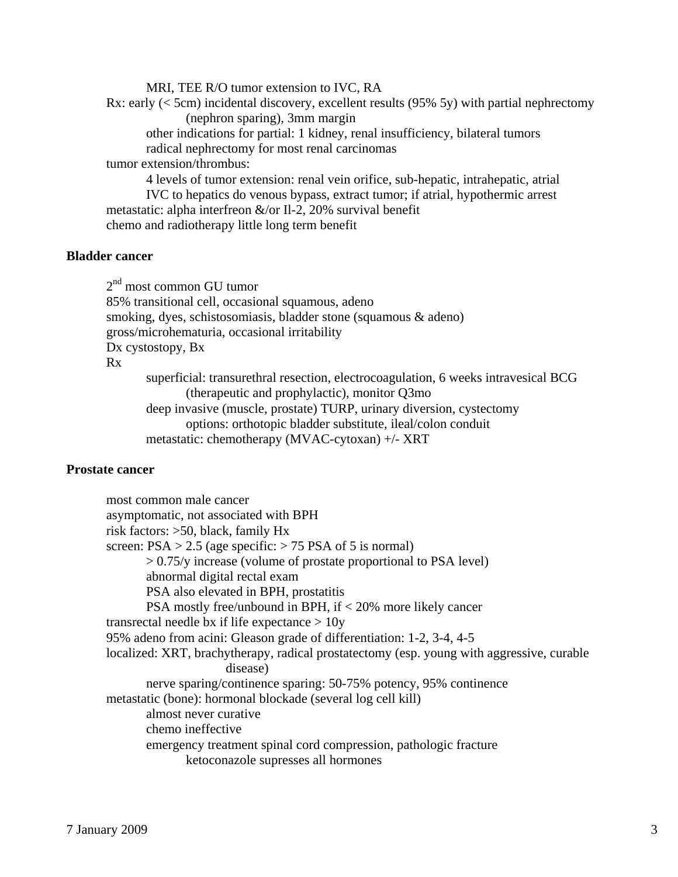MRI, TEE R/O tumor extension to IVC, RA Rx: early  $(<$  5cm) incidental discovery, excellent results (95% 5y) with partial nephrectomy (nephron sparing), 3mm margin other indications for partial: 1 kidney, renal insufficiency, bilateral tumors radical nephrectomy for most renal carcinomas tumor extension/thrombus: 4 levels of tumor extension: renal vein orifice, sub-hepatic, intrahepatic, atrial IVC to hepatics do venous bypass, extract tumor; if atrial, hypothermic arrest metastatic: alpha interfreon &/or Il-2, 20% survival benefit chemo and radiotherapy little long term benefit

# **Bladder cancer**

 $2<sup>nd</sup>$  most common GU tumor 85% transitional cell, occasional squamous, adeno smoking, dyes, schistosomiasis, bladder stone (squamous & adeno) gross/microhematuria, occasional irritability Dx cystostopy, Bx Rx superficial: transurethral resection, electrocoagulation, 6 weeks intravesical BCG (therapeutic and prophylactic), monitor Q3mo deep invasive (muscle, prostate) TURP, urinary diversion, cystectomy options: orthotopic bladder substitute, ileal/colon conduit metastatic: chemotherapy (MVAC-cytoxan) +/- XRT

# **Prostate cancer**

 most common male cancer asymptomatic, not associated with BPH risk factors: >50, black, family Hx screen:  $PSA > 2.5$  (age specific:  $> 75$  PSA of 5 is normal) > 0.75/y increase (volume of prostate proportional to PSA level) abnormal digital rectal exam PSA also elevated in BPH, prostatitis PSA mostly free/unbound in BPH, if < 20% more likely cancer transrectal needle bx if life expectance  $> 10y$  95% adeno from acini: Gleason grade of differentiation: 1-2, 3-4, 4-5 localized: XRT, brachytherapy, radical prostatectomy (esp. young with aggressive, curable disease) nerve sparing/continence sparing: 50-75% potency, 95% continence metastatic (bone): hormonal blockade (several log cell kill) almost never curative chemo ineffective emergency treatment spinal cord compression, pathologic fracture ketoconazole supresses all hormones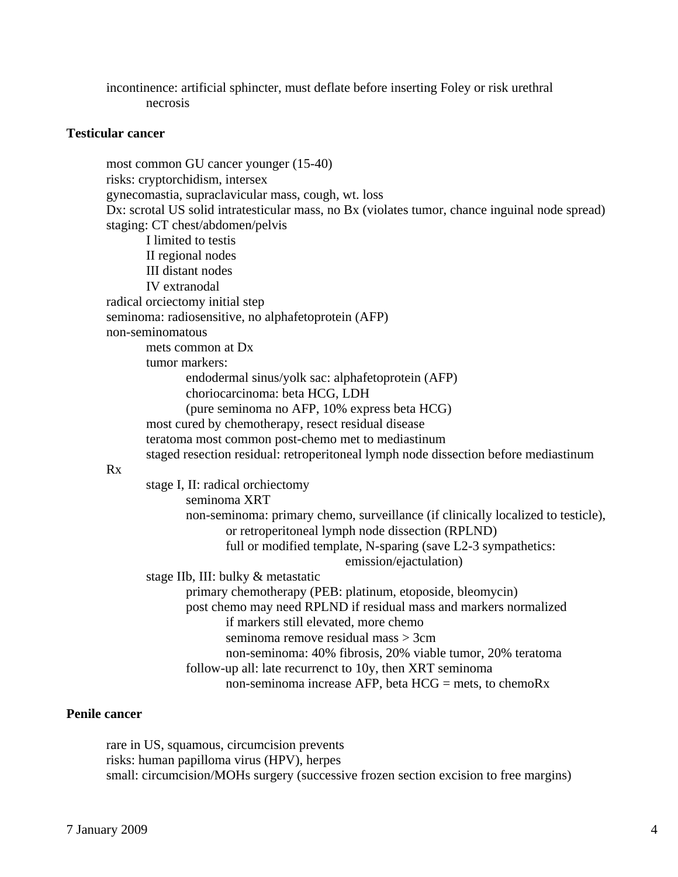incontinence: artificial sphincter, must deflate before inserting Foley or risk urethral necrosis

# **Testicular cancer**

 most common GU cancer younger (15-40) risks: cryptorchidism, intersex gynecomastia, supraclavicular mass, cough, wt. loss Dx: scrotal US solid intratesticular mass, no Bx (violates tumor, chance inguinal node spread) staging: CT chest/abdomen/pelvis I limited to testis II regional nodes III distant nodes IV extranodal radical orciectomy initial step seminoma: radiosensitive, no alphafetoprotein (AFP) non-seminomatous mets common at Dx tumor markers: endodermal sinus/yolk sac: alphafetoprotein (AFP) choriocarcinoma: beta HCG, LDH (pure seminoma no AFP, 10% express beta HCG) most cured by chemotherapy, resect residual disease teratoma most common post-chemo met to mediastinum staged resection residual: retroperitoneal lymph node dissection before mediastinum Rx stage I, II: radical orchiectomy seminoma XRT non-seminoma: primary chemo, surveillance (if clinically localized to testicle), or retroperitoneal lymph node dissection (RPLND) full or modified template, N-sparing (save L2-3 sympathetics: emission/ejactulation) stage IIb, III: bulky & metastatic primary chemotherapy (PEB: platinum, etoposide, bleomycin) post chemo may need RPLND if residual mass and markers normalized if markers still elevated, more chemo seminoma remove residual mass > 3cm non-seminoma: 40% fibrosis, 20% viable tumor, 20% teratoma follow-up all: late recurrenct to 10y, then XRT seminoma non-seminoma increase AFP, beta HCG = mets, to chemoRx

# **Penile cancer**

 rare in US, squamous, circumcision prevents risks: human papilloma virus (HPV), herpes small: circumcision/MOHs surgery (successive frozen section excision to free margins)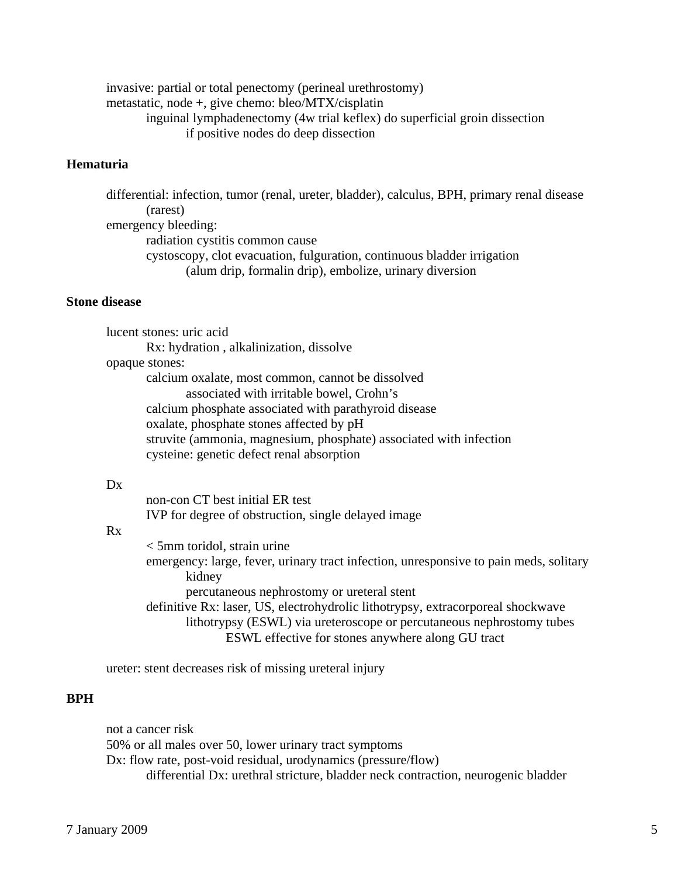invasive: partial or total penectomy (perineal urethrostomy) metastatic, node +, give chemo: bleo/MTX/cisplatin inguinal lymphadenectomy (4w trial keflex) do superficial groin dissection if positive nodes do deep dissection

# **Hematuria**

 differential: infection, tumor (renal, ureter, bladder), calculus, BPH, primary renal disease (rarest) emergency bleeding: radiation cystitis common cause cystoscopy, clot evacuation, fulguration, continuous bladder irrigation (alum drip, formalin drip), embolize, urinary diversion

# **Stone disease**

 lucent stones: uric acid Rx: hydration , alkalinization, dissolve opaque stones: calcium oxalate, most common, cannot be dissolved associated with irritable bowel, Crohn's calcium phosphate associated with parathyroid disease oxalate, phosphate stones affected by pH struvite (ammonia, magnesium, phosphate) associated with infection cysteine: genetic defect renal absorption

#### $Dx$

 non-con CT best initial ER test IVP for degree of obstruction, single delayed image

## Rx

 < 5mm toridol, strain urine emergency: large, fever, urinary tract infection, unresponsive to pain meds, solitary kidney percutaneous nephrostomy or ureteral stent definitive Rx: laser, US, electrohydrolic lithotrypsy, extracorporeal shockwave

 lithotrypsy (ESWL) via ureteroscope or percutaneous nephrostomy tubes ESWL effective for stones anywhere along GU tract

ureter: stent decreases risk of missing ureteral injury

### **BPH**

 not a cancer risk 50% or all males over 50, lower urinary tract symptoms Dx: flow rate, post-void residual, urodynamics (pressure/flow) differential Dx: urethral stricture, bladder neck contraction, neurogenic bladder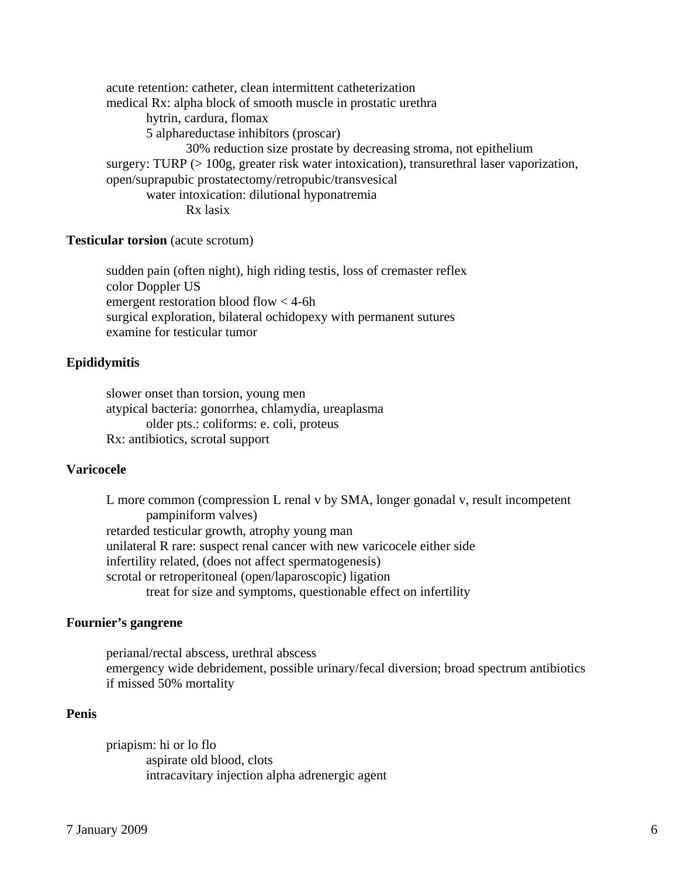acute retention: catheter, clean intermittent catheterization medical Rx: alpha block of smooth muscle in prostatic urethra hytrin, cardura, flomax 5 alphareductase inhibitors (proscar) 30% reduction size prostate by decreasing stroma, not epithelium surgery: TURP (> 100g, greater risk water intoxication), transurethral laser vaporization, open/suprapubic prostatectomy/retropubic/transvesical water intoxication: dilutional hyponatremia Rx lasix

# **Testicular torsion** (acute scrotum)

 sudden pain (often night), high riding testis, loss of cremaster reflex color Doppler US emergent restoration blood flow < 4-6h surgical exploration, bilateral ochidopexy with permanent sutures examine for testicular tumor

#### **Epididymitis**

 slower onset than torsion, young men atypical bacteria: gonorrhea, chlamydia, ureaplasma older pts.: coliforms: e. coli, proteus Rx: antibiotics, scrotal support

# **Varicocele**

 L more common (compression L renal v by SMA, longer gonadal v, result incompetent pampiniform valves) retarded testicular growth, atrophy young man unilateral R rare: suspect renal cancer with new varicocele either side infertility related, (does not affect spermatogenesis) scrotal or retroperitoneal (open/laparoscopic) ligation treat for size and symptoms, questionable effect on infertility

### **Fournier's gangrene**

 perianal/rectal abscess, urethral abscess emergency wide debridement, possible urinary/fecal diversion; broad spectrum antibiotics if missed 50% mortality

### **Penis**

 priapism: hi or lo flo aspirate old blood, clots intracavitary injection alpha adrenergic agent